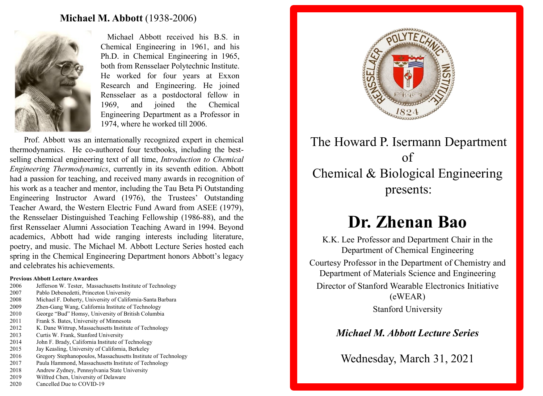#### **Michael M. Abbott** (1938-2006)



Michael Abbott received his B.S. in Chemical Engineering in 1961, and his Ph.D. in Chemical Engineering in 1965, both from Rensselaer Polytechnic Institute. He worked for four years at Exxon Research and Engineering. He joined Rensselaer as a postdoctoral fellow in 1969, and joined the Chemical Engineering Department as a Professor in 1974, where he worked till 2006.

Prof. Abbott was an internationally recognized expert in chemical thermodynamics. He co-authored four textbooks, including the bestselling chemical engineering text of all time, *Introduction to Chemical Engineering Thermodynamics*, currently in its seventh edition. Abbott had a passion for teaching, and received many awards in recognition of his work as a teacher and mentor, including the Tau Beta Pi Outstanding Engineering Instructor Award (1976), the Trustees' Outstanding Teacher Award, the Western Electric Fund Award from ASEE (1979), the Rensselaer Distinguished Teaching Fellowship (1986-88), and the first Rensselaer Alumni Association Teaching Award in 1994. Beyond academics, Abbott had wide ranging interests including literature, poetry, and music. The Michael M. Abbott Lecture Series hosted each spring in the Chemical Engineering Department honors Abbott's legacy and celebrates his achievements.

#### **Previous Abbott Lecture Awardees**

- 2006 Jefferson W. Tester, Massachusetts Institute of Technology
- 2007 Pablo Debenedetti, Princeton University
- 2008 Michael F. Doherty, University of California-Santa Barbara
- 2009 Zhen-Gang Wang, California Institute of Technology
- 2010 George "Bud" Homsy, University of British Columbia
- 2011 Frank S. Bates, University of Minnesota
- 2012 K. Dane Wittrup, Massachusetts Institute of Technology
- 2013 Curtis W. Frank, Stanford University
- 2014 John F. Brady, California Institute of Technology
- 2015 Jay Keasling, University of California, Berkeley
- 2016 Gregory Stephanopoulos, Massachusetts Institute of Technology
- 2017 Paula Hammond, Massachusetts Institute of Technology
- 2018 Andrew Zydney, Pennsylvania State University
- 2019 Wilfred Chen, University of Delaware
- 2020 Cancelled Due to COVID-19



## The Howard P. Isermann Department of Chemical & Biological Engineering presents:

# **Dr. Zhenan Bao**

K.K. Lee Professor and Department Chair in the Department of Chemical Engineering Courtesy Professor in the Department of Chemistry and Department of Materials Science and Engineering Director of Stanford Wearable Electronics Initiative (eWEAR) Stanford University

## *Michael M. Abbott Lecture Series*

Wednesday, March 31, 2021